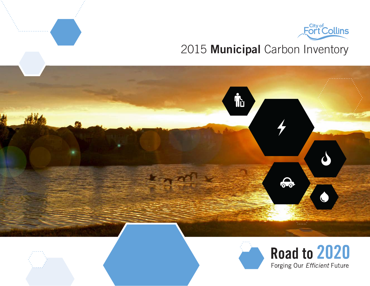

Road to 2020

Forging Our Efficient Future

## 2015 Municipal Carbon Inventory



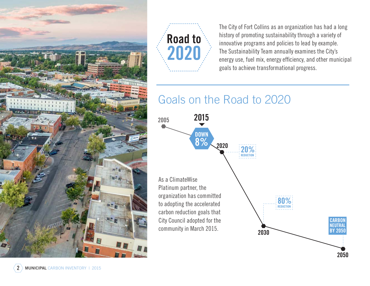



The City of Fort Collins as an organization has had a long history of promoting sustainability through a variety of innovative programs and policies to lead by example. The Sustainability Team annually examines the City's energy use, fuel mix, energy efficiency, and other municipal goals to achieve transformational progress.

# Goals on the Road to 2020

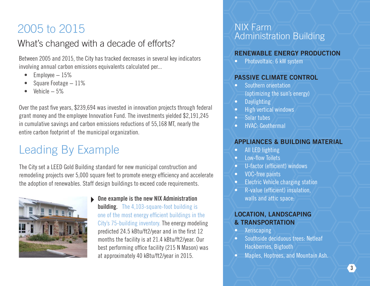# 2005 to 2015

## What's changed with a decade of efforts?

Between 2005 and 2015, the City has tracked decreases in several key indicators involving annual carbon emissions equivalents calculated per...

- Employee − 15%
- Square Footage − 11%
- Vehicle − 5%

Over the past five years, \$239,694 was invested in innovation projects through federal grant money and the employee Innovation Fund. The investments yielded \$2,191,245 in cumulative savings and carbon emissions reductions of 55,168 MT, nearly the entire carbon footprint of the municipal organization.

# Leading By Example

The City set a LEED Gold Building standard for new municipal construction and remodeling projects over 5,000 square feet to promote energy efficiency and accelerate the adoption of renewables. Staff design buildings to exceed code requirements.



▶ One example is the new NIX Administration **building.** The 4.103-square-foot building is one of the most energy efficient buildings in the City's 75-building inventory. The energy modeling predicted 24.5 kBtu/ft2/year and in the first 12 months the facility is at 21.4 kBtu/ft2/year. Our best performing office facility (215 N Mason) was at approximately 40 kBtu/ft2/year in 2015.

### NIX Farm Administration Building

#### RENEWABLE ENERGY PRODUCTION

• Photovoltaic: 6 kW system

#### PASSIVE CLIMATE CONTROL

- Southern orientation (optimizing the sun's energy)
- Daylighting
- High vertical windows
- Solar tubes
- HVAC: Geothermal

#### APPLIANCES & BUILDING MATERIAL

- All LED lighting
- Low-flow Toilets
- U-factor (efficient) windows
- VOC-free paints
- Electric Vehicle charging station
- R-value (efficient) insulation, walls and attic space:

#### LOCATION, LANDSCAPING & TRANSPORTATION

- **Xeriscaping**
- Southside deciduous trees: Netleaf Hackberries, Bigtooth
- Maples, Hoptrees, and Mountain Ash.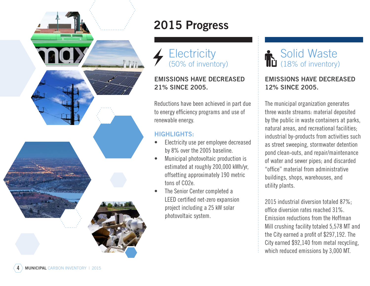

# 2015 Progress

**Electricity** (50% of inventory)

#### EMISSIONS HAVE DECREASED 21% SINCE 2005.

Reductions have been achieved in part due to energy efficiency programs and use of renewable energy.

#### HIGHLIGHTS:

- Electricity use per employee decreased by 8% over the 2005 baseline.
- Municipal photovoltaic production is estimated at roughly 200,000 kWh/yr, offsetting approximately 190 metric tons of CO2e.
- The Senior Center completed a LEED certified net-zero expansion project including a 25 kW solar photovoltaic system.

## Solid Waste (18% of inventory)

#### EMISSIONS HAVE DECREASED 12% SINCE 2005.

The municipal organization generates three waste streams: material deposited by the public in waste containers at parks, natural areas, and recreational facilities; industrial by-products from activities such as street sweeping, stormwater detention pond clean-outs, and repair/maintenance of water and sewer pipes; and discarded "office" material from administrative buildings, shops, warehouses, and utility plants.

2015 industrial diversion totaled 87%; office diversion rates reached 31%. Emission reductions from the Hoffman Mill crushing facility totaled 5,578 MT and the City earned a profit of \$297,192. The City earned \$92,140 from metal recycling, which reduced emissions by 3,000 MT.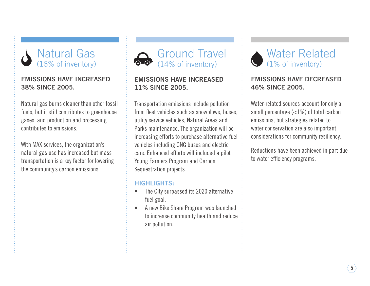

#### EMISSIONS HAVE INCREASED 38% SINCE 2005.

Natural gas burns cleaner than other fossil fuels, but it still contributes to greenhouse gases, and production and processing contributes to emissions.

With MAX services, the organization's natural gas use has increased but mass transportation is a key factor for lowering the community's carbon emissions.



#### EMISSIONS HAVE INCREASED 11% SINCE 2005.

Transportation emissions include pollution from fleet vehicles such as snowplows, buses, utility service vehicles, Natural Areas and Parks maintenance. The organization will be increasing efforts to purchase alternative fuel vehicles including CNG buses and electric cars. Enhanced efforts will included a pilot Young Farmers Program and Carbon Sequestration projects.

#### HIGHLIGHTS:

- The City surpassed its 2020 alternative fuel goal.
- A new Bike Share Program was launched to increase community health and reduce air pollution.

### Water Related (1% of inventory)

#### EMISSIONS HAVE DECREASED 46% SINCE 2005.

Water-related sources account for only a small percentage (<1%) of total carbon emissions, but strategies related to water conservation are also important considerations for community resiliency.

Reductions have been achieved in part due to water efficiency programs.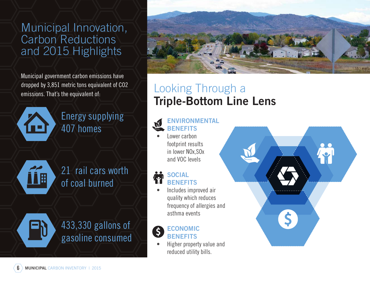Municipal Innovation, Carbon Reductions and 2015 Highlights

Municipal government carbon emissions have dropped by 3,851 metric tons equivalent of CO2 emissions. That's the equivalent of:



Energy supplying 407 homes



21 rail cars worth of coal burned



433,330 gallons of gasoline consumed



 $\ddot{\bullet}$ 

 $\overline{\mathsf{S}}$ 

## Looking Through a Triple-Bottom Line Lens

#### ENVIRONMENTAL **BENEFITS**

Lower carbon footprint results in lower NOx,SOx and VOC levels

#### **SOCIAL BENEFITS**

• Includes improved air quality which reduces frequency of allergies and asthma events



#### ECONOMIC **BENEFITS**

• Higher property value and reduced utility bills.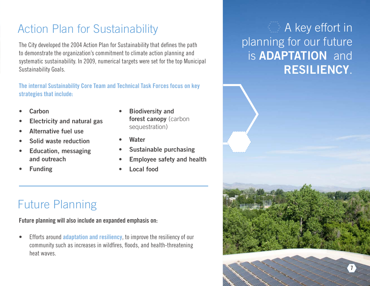# Action Plan for Sustainability

The City developed the 2004 Action Plan for Sustainability that defines the path to demonstrate the organization's commitment to climate action planning and systematic sustainability. In 2009, numerical targets were set for the top Municipal Sustainability Goals.

The internal Sustainability Core Team and Technical Task Forces focus on key strategies that include:

- **Carbon**
- Electricity and natural gas
- Alternative fuel use
- Solid waste reduction
- Education, messaging and outreach
- **Funding**
- **Biodiversity and** forest canopy (carbon sequestration)
- **Water**
- Sustainable purchasing
- Employee safety and health
- Local food

# Future Planning

Future planning will also include an expanded emphasis on:

Efforts around **adaptation and resiliency**, to improve the resiliency of our community such as increases in wildfires, floods, and health-threatening heat waves.

# $\langle \rangle$  A key effort in planning for our future is **ADAPTATION** and RESILIENCY.